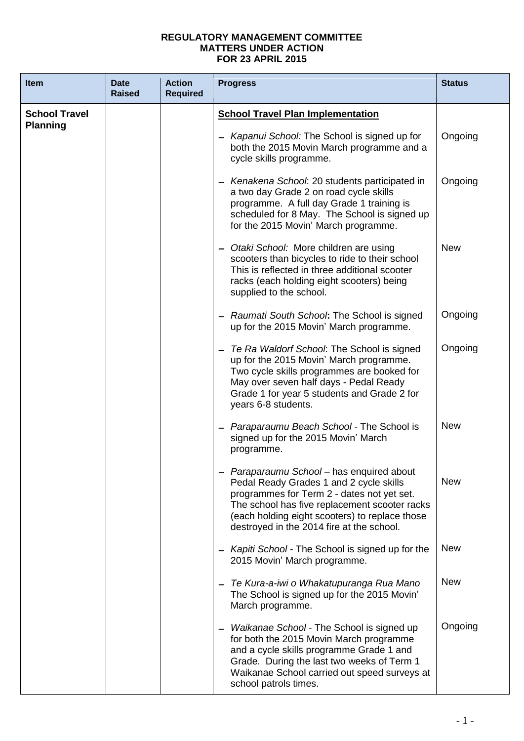## **REGULATORY MANAGEMENT COMMITTEE MATTERS UNDER ACTION FOR 23 APRIL 2015**

| <b>Item</b>                             | <b>Date</b><br><b>Raised</b> | <b>Action</b><br><b>Required</b> | <b>Progress</b>                                                                                                                                                                                                                                                                    | <b>Status</b> |
|-----------------------------------------|------------------------------|----------------------------------|------------------------------------------------------------------------------------------------------------------------------------------------------------------------------------------------------------------------------------------------------------------------------------|---------------|
| <b>School Travel</b><br><b>Planning</b> |                              |                                  | <b>School Travel Plan Implementation</b>                                                                                                                                                                                                                                           |               |
|                                         |                              |                                  | Kapanui School: The School is signed up for<br>both the 2015 Movin March programme and a<br>cycle skills programme.                                                                                                                                                                | Ongoing       |
|                                         |                              |                                  | - Kenakena School: 20 students participated in<br>a two day Grade 2 on road cycle skills<br>programme. A full day Grade 1 training is<br>scheduled for 8 May. The School is signed up<br>for the 2015 Movin' March programme.                                                      | Ongoing       |
|                                         |                              |                                  | Otaki School: More children are using<br>scooters than bicycles to ride to their school<br>This is reflected in three additional scooter<br>racks (each holding eight scooters) being<br>supplied to the school.                                                                   | <b>New</b>    |
|                                         |                              |                                  | Raumati South School: The School is signed<br>up for the 2015 Movin' March programme.                                                                                                                                                                                              | Ongoing       |
|                                         |                              |                                  | Te Ra Waldorf School: The School is signed<br>up for the 2015 Movin' March programme.<br>Two cycle skills programmes are booked for<br>May over seven half days - Pedal Ready<br>Grade 1 for year 5 students and Grade 2 for<br>years 6-8 students.                                | Ongoing       |
|                                         |                              |                                  | Paraparaumu Beach School - The School is<br>signed up for the 2015 Movin' March<br>programme.                                                                                                                                                                                      | <b>New</b>    |
|                                         |                              |                                  | - Paraparaumu School - has enquired about<br>Pedal Ready Grades 1 and 2 cycle skills<br>programmes for Term 2 - dates not yet set.<br>The school has five replacement scooter racks<br>(each holding eight scooters) to replace those<br>destroyed in the 2014 fire at the school. | <b>New</b>    |
|                                         |                              |                                  | Kapiti School - The School is signed up for the<br>2015 Movin' March programme.                                                                                                                                                                                                    | <b>New</b>    |
|                                         |                              |                                  | Te Kura-a-iwi o Whakatupuranga Rua Mano<br>The School is signed up for the 2015 Movin'<br>March programme.                                                                                                                                                                         | <b>New</b>    |
|                                         |                              |                                  | Waikanae School - The School is signed up<br>for both the 2015 Movin March programme<br>and a cycle skills programme Grade 1 and<br>Grade. During the last two weeks of Term 1<br>Waikanae School carried out speed surveys at<br>school patrols times.                            | Ongoing       |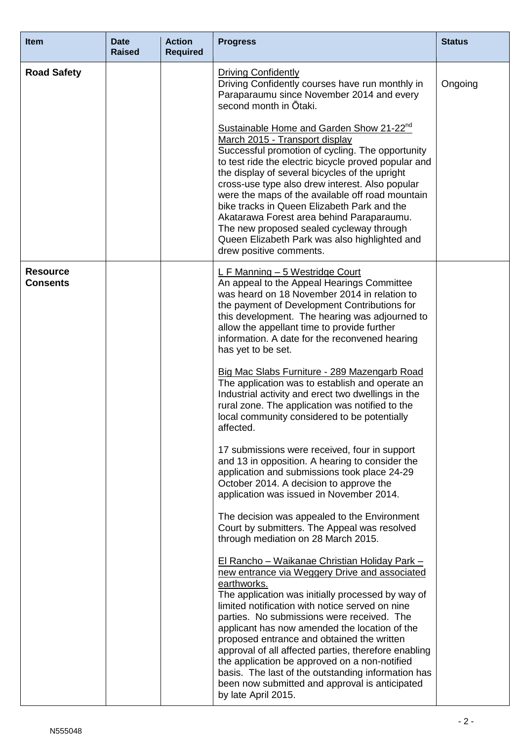| <b>Item</b>                        | <b>Date</b><br><b>Raised</b> | <b>Action</b><br><b>Required</b> | <b>Progress</b>                                                                                                                                                                                                                                                                                                                                                                                                                                                                                                                                                                                                     | <b>Status</b> |
|------------------------------------|------------------------------|----------------------------------|---------------------------------------------------------------------------------------------------------------------------------------------------------------------------------------------------------------------------------------------------------------------------------------------------------------------------------------------------------------------------------------------------------------------------------------------------------------------------------------------------------------------------------------------------------------------------------------------------------------------|---------------|
| <b>Road Safety</b>                 |                              |                                  | <b>Driving Confidently</b><br>Driving Confidently courses have run monthly in<br>Paraparaumu since November 2014 and every<br>second month in Otaki.                                                                                                                                                                                                                                                                                                                                                                                                                                                                | Ongoing       |
|                                    |                              |                                  | Sustainable Home and Garden Show 21-22 <sup>nd</sup><br>March 2015 - Transport display<br>Successful promotion of cycling. The opportunity<br>to test ride the electric bicycle proved popular and<br>the display of several bicycles of the upright<br>cross-use type also drew interest. Also popular<br>were the maps of the available off road mountain<br>bike tracks in Queen Elizabeth Park and the<br>Akatarawa Forest area behind Paraparaumu.<br>The new proposed sealed cycleway through<br>Queen Elizabeth Park was also highlighted and<br>drew positive comments.                                     |               |
| <b>Resource</b><br><b>Consents</b> |                              |                                  | L F Manning - 5 Westridge Court<br>An appeal to the Appeal Hearings Committee<br>was heard on 18 November 2014 in relation to<br>the payment of Development Contributions for<br>this development. The hearing was adjourned to<br>allow the appellant time to provide further<br>information. A date for the reconvened hearing<br>has yet to be set.                                                                                                                                                                                                                                                              |               |
|                                    |                              |                                  | Big Mac Slabs Furniture - 289 Mazengarb Road<br>The application was to establish and operate an<br>Industrial activity and erect two dwellings in the<br>rural zone. The application was notified to the<br>local community considered to be potentially<br>affected.                                                                                                                                                                                                                                                                                                                                               |               |
|                                    |                              |                                  | 17 submissions were received, four in support<br>and 13 in opposition. A hearing to consider the<br>application and submissions took place 24-29<br>October 2014. A decision to approve the<br>application was issued in November 2014.                                                                                                                                                                                                                                                                                                                                                                             |               |
|                                    |                              |                                  | The decision was appealed to the Environment<br>Court by submitters. The Appeal was resolved<br>through mediation on 28 March 2015.                                                                                                                                                                                                                                                                                                                                                                                                                                                                                 |               |
|                                    |                              |                                  | <u> El Rancho – Waikanae Christian Holiday Park – </u><br>new entrance via Weggery Drive and associated<br>earthworks.<br>The application was initially processed by way of<br>limited notification with notice served on nine<br>parties. No submissions were received. The<br>applicant has now amended the location of the<br>proposed entrance and obtained the written<br>approval of all affected parties, therefore enabling<br>the application be approved on a non-notified<br>basis. The last of the outstanding information has<br>been now submitted and approval is anticipated<br>by late April 2015. |               |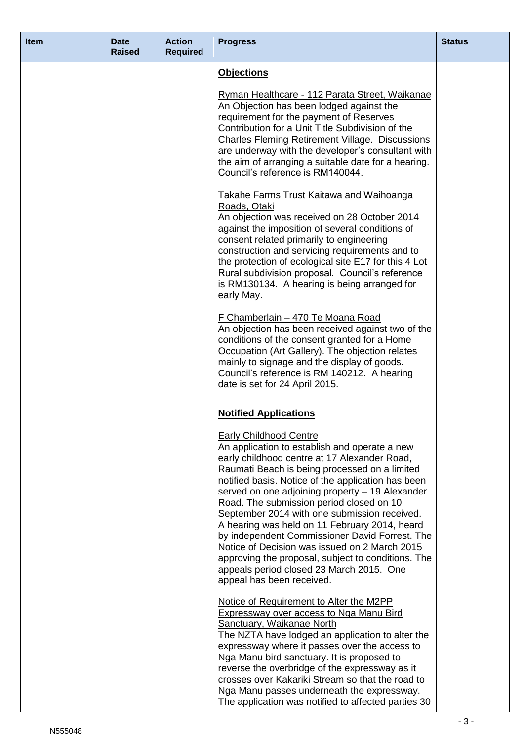| <b>Item</b> | <b>Date</b><br><b>Raised</b> | <b>Action</b><br><b>Required</b> | <b>Progress</b>                                                                                                                                                                                                                                                                                                                                                                                                                                                                                                                                                                                                                                                                                         | <b>Status</b> |
|-------------|------------------------------|----------------------------------|---------------------------------------------------------------------------------------------------------------------------------------------------------------------------------------------------------------------------------------------------------------------------------------------------------------------------------------------------------------------------------------------------------------------------------------------------------------------------------------------------------------------------------------------------------------------------------------------------------------------------------------------------------------------------------------------------------|---------------|
|             |                              |                                  | <b>Objections</b><br>Ryman Healthcare - 112 Parata Street, Waikanae<br>An Objection has been lodged against the                                                                                                                                                                                                                                                                                                                                                                                                                                                                                                                                                                                         |               |
|             |                              |                                  | requirement for the payment of Reserves<br>Contribution for a Unit Title Subdivision of the<br><b>Charles Fleming Retirement Village. Discussions</b><br>are underway with the developer's consultant with<br>the aim of arranging a suitable date for a hearing.<br>Council's reference is RM140044.                                                                                                                                                                                                                                                                                                                                                                                                   |               |
|             |                              |                                  | <b>Takahe Farms Trust Kaitawa and Waihoanga</b><br>Roads, Otaki<br>An objection was received on 28 October 2014<br>against the imposition of several conditions of<br>consent related primarily to engineering<br>construction and servicing requirements and to<br>the protection of ecological site E17 for this 4 Lot<br>Rural subdivision proposal. Council's reference<br>is RM130134. A hearing is being arranged for<br>early May.                                                                                                                                                                                                                                                               |               |
|             |                              |                                  | <u> F Chamberlain – 470 Te Moana Road</u><br>An objection has been received against two of the<br>conditions of the consent granted for a Home<br>Occupation (Art Gallery). The objection relates<br>mainly to signage and the display of goods.<br>Council's reference is RM 140212. A hearing<br>date is set for 24 April 2015.                                                                                                                                                                                                                                                                                                                                                                       |               |
|             |                              |                                  | <b>Notified Applications</b><br><b>Early Childhood Centre</b><br>An application to establish and operate a new<br>early childhood centre at 17 Alexander Road,<br>Raumati Beach is being processed on a limited<br>notified basis. Notice of the application has been<br>served on one adjoining property - 19 Alexander<br>Road. The submission period closed on 10<br>September 2014 with one submission received.<br>A hearing was held on 11 February 2014, heard<br>by independent Commissioner David Forrest. The<br>Notice of Decision was issued on 2 March 2015<br>approving the proposal, subject to conditions. The<br>appeals period closed 23 March 2015. One<br>appeal has been received. |               |
|             |                              |                                  | Notice of Requirement to Alter the M2PP<br><b>Expressway over access to Nga Manu Bird</b><br><b>Sanctuary, Waikanae North</b><br>The NZTA have lodged an application to alter the<br>expressway where it passes over the access to<br>Nga Manu bird sanctuary. It is proposed to<br>reverse the overbridge of the expressway as it<br>crosses over Kakariki Stream so that the road to<br>Nga Manu passes underneath the expressway.<br>The application was notified to affected parties 30                                                                                                                                                                                                             |               |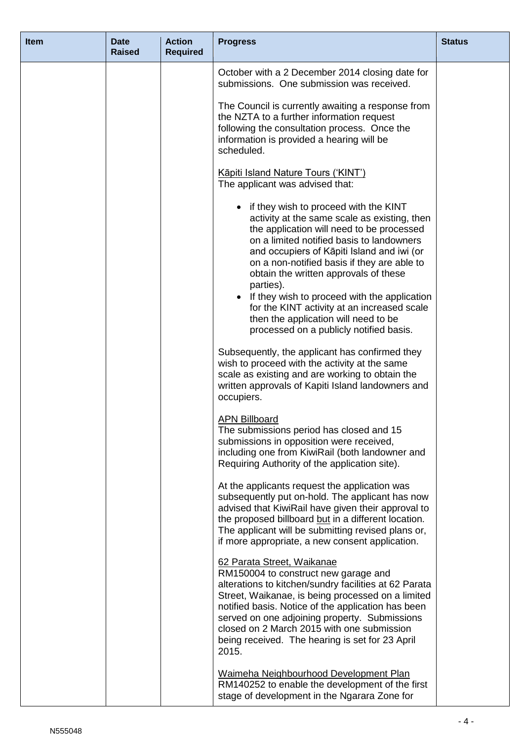| <b>Item</b> | <b>Date</b><br><b>Raised</b> | <b>Action</b><br><b>Required</b> | <b>Progress</b>                                                                                                                                                                                                                                                                                                                                                                                                                                                                                                          | <b>Status</b> |
|-------------|------------------------------|----------------------------------|--------------------------------------------------------------------------------------------------------------------------------------------------------------------------------------------------------------------------------------------------------------------------------------------------------------------------------------------------------------------------------------------------------------------------------------------------------------------------------------------------------------------------|---------------|
|             |                              |                                  | October with a 2 December 2014 closing date for<br>submissions. One submission was received.                                                                                                                                                                                                                                                                                                                                                                                                                             |               |
|             |                              |                                  | The Council is currently awaiting a response from<br>the NZTA to a further information request<br>following the consultation process. Once the<br>information is provided a hearing will be<br>scheduled.                                                                                                                                                                                                                                                                                                                |               |
|             |                              |                                  | Kāpiti Island Nature Tours ('KINT')<br>The applicant was advised that:                                                                                                                                                                                                                                                                                                                                                                                                                                                   |               |
|             |                              |                                  | • if they wish to proceed with the KINT<br>activity at the same scale as existing, then<br>the application will need to be processed<br>on a limited notified basis to landowners<br>and occupiers of Kāpiti Island and iwi (or<br>on a non-notified basis if they are able to<br>obtain the written approvals of these<br>parties).<br>• If they wish to proceed with the application<br>for the KINT activity at an increased scale<br>then the application will need to be<br>processed on a publicly notified basis. |               |
|             |                              |                                  | Subsequently, the applicant has confirmed they<br>wish to proceed with the activity at the same<br>scale as existing and are working to obtain the<br>written approvals of Kapiti Island landowners and<br>occupiers.                                                                                                                                                                                                                                                                                                    |               |
|             |                              |                                  | <b>APN Billboard</b><br>The submissions period has closed and 15<br>submissions in opposition were received,<br>including one from KiwiRail (both landowner and<br>Requiring Authority of the application site).                                                                                                                                                                                                                                                                                                         |               |
|             |                              |                                  | At the applicants request the application was<br>subsequently put on-hold. The applicant has now<br>advised that KiwiRail have given their approval to<br>the proposed billboard but in a different location.<br>The applicant will be submitting revised plans or,<br>if more appropriate, a new consent application.                                                                                                                                                                                                   |               |
|             |                              |                                  | 62 Parata Street, Waikanae<br>RM150004 to construct new garage and<br>alterations to kitchen/sundry facilities at 62 Parata<br>Street, Waikanae, is being processed on a limited<br>notified basis. Notice of the application has been<br>served on one adjoining property. Submissions<br>closed on 2 March 2015 with one submission<br>being received. The hearing is set for 23 April<br>2015.                                                                                                                        |               |
|             |                              |                                  | Waimeha Neighbourhood Development Plan<br>RM140252 to enable the development of the first<br>stage of development in the Ngarara Zone for                                                                                                                                                                                                                                                                                                                                                                                |               |